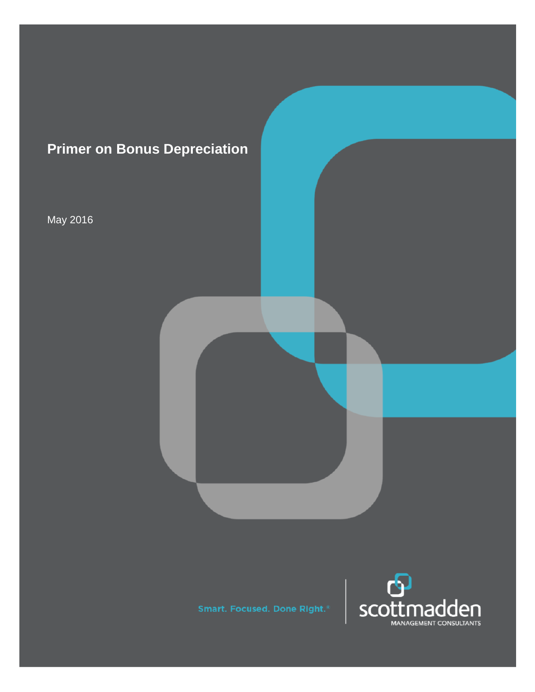

May 2016

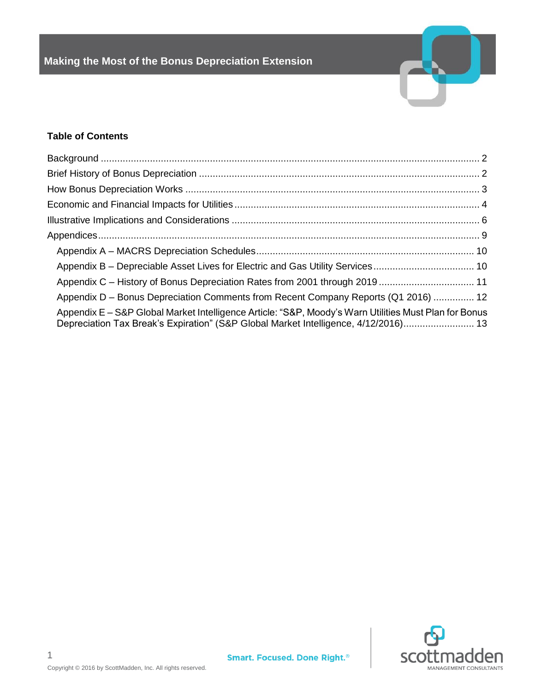

# **Table of Contents**

| Appendix D – Bonus Depreciation Comments from Recent Company Reports (Q1 2016)  12                                                                                                           |  |
|----------------------------------------------------------------------------------------------------------------------------------------------------------------------------------------------|--|
| Appendix E – S&P Global Market Intelligence Article: "S&P, Moody's Warn Utilities Must Plan for Bonus<br>Depreciation Tax Break's Expiration" (S&P Global Market Intelligence, 4/12/2016) 13 |  |

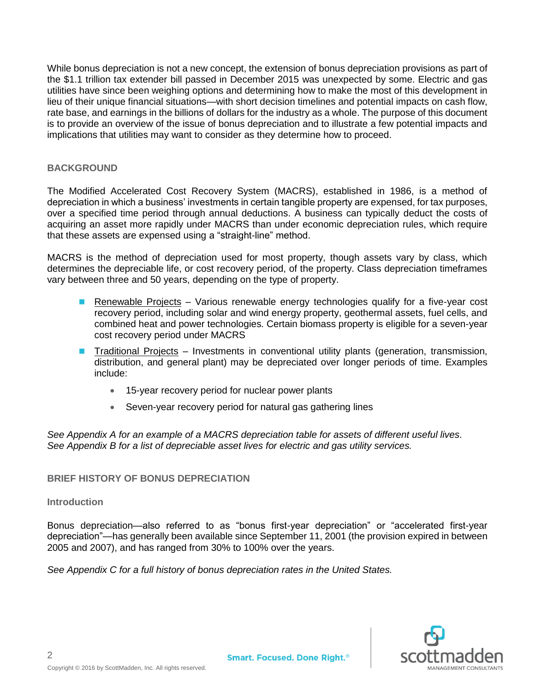While bonus depreciation is not a new concept, the extension of bonus depreciation provisions as part of the \$1.1 trillion tax extender bill passed in December 2015 was unexpected by some. Electric and gas utilities have since been weighing options and determining how to make the most of this development in lieu of their unique financial situations—with short decision timelines and potential impacts on cash flow, rate base, and earnings in the billions of dollars for the industry as a whole. The purpose of this document is to provide an overview of the issue of bonus depreciation and to illustrate a few potential impacts and implications that utilities may want to consider as they determine how to proceed.

## <span id="page-2-0"></span>**BACKGROUND**

The Modified Accelerated Cost Recovery System (MACRS), established in 1986, is a method of depreciation in which a business' investments in certain tangible property are expensed, for tax purposes, over a specified time period through annual deductions. A business can typically deduct the costs of acquiring an asset more rapidly under MACRS than under economic depreciation rules, which require that these assets are expensed using a "straight-line" method.

MACRS is the method of depreciation used for most property, though assets vary by class, which determines the depreciable life, or cost recovery period, of the property. Class depreciation timeframes vary between three and 50 years, depending on the type of property.

- **Renewable Projects Various renewable energy technologies qualify for a five-year cost** recovery period, including solar and wind energy property, geothermal assets, fuel cells, and combined heat and power technologies. Certain biomass property is eligible for a seven-year cost recovery period under MACRS
- **Traditional Projects Investments in conventional utility plants (generation, transmission,** distribution, and general plant) may be depreciated over longer periods of time. Examples include:
	- 15-year recovery period for nuclear power plants
	- Seven-year recovery period for natural gas gathering lines

*See Appendix A for an example of a MACRS depreciation table for assets of different useful lives. See Appendix B for a list of depreciable asset lives for electric and gas utility services.*

## <span id="page-2-1"></span>**BRIEF HISTORY OF BONUS DEPRECIATION**

## **Introduction**

2

Bonus depreciation—also referred to as "bonus first-year depreciation" or "accelerated first-year depreciation"—has generally been available since September 11, 2001 (the provision expired in between 2005 and 2007), and has ranged from 30% to 100% over the years.

*See Appendix C for a full history of bonus depreciation rates in the United States.*

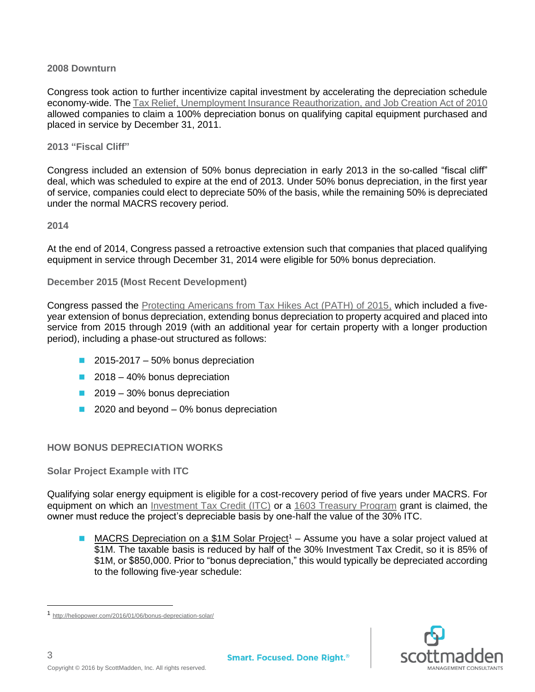## **2008 Downturn**

Congress took action to further incentivize capital investment by accelerating the depreciation schedule economy-wide. The [Tax Relief, Unemployment Insurance Reauthorization, and Job Creation Act of 2010](http://www.finance.senate.gov/legislation/details/?id=10874ed6-5056-a032-52cd-99708697eff0) allowed companies to claim a 100% depreciation bonus on qualifying capital equipment purchased and placed in service by December 31, 2011.

#### **2013 "Fiscal Cliff"**

Congress included an extension of 50% bonus depreciation in early 2013 in the so-called "fiscal cliff" deal, which was scheduled to expire at the end of 2013. Under 50% bonus depreciation, in the first year of service, companies could elect to depreciate 50% of the basis, while the remaining 50% is depreciated under the normal MACRS recovery period.

#### **2014**

At the end of 2014, Congress passed a retroactive extension such that companies that placed qualifying equipment in service through December 31, 2014 were eligible for 50% bonus depreciation.

**December 2015 (Most Recent Development)**

Congress passed the [Protecting Americans from Tax Hikes Act \(PATH\) of 2015,](http://waysandmeans.house.gov/wp-content/uploads/2015/12/SECTION-BY-SECTION-SUMMARY-OF-THE-PROPOSED-PATH-ACT.pdf) which included a fiveyear extension of bonus depreciation, extending bonus depreciation to property acquired and placed into service from 2015 through 2019 (with an additional year for certain property with a longer production period), including a phase-out structured as follows:

- $2015-2017 50%$  bonus depreciation
- 2018 40% bonus depreciation
- 2019 30% bonus depreciation
- $\blacksquare$  2020 and beyond 0% bonus depreciation

## <span id="page-3-0"></span>**HOW BONUS DEPRECIATION WORKS**

**Solar Project Example with ITC**

Qualifying solar energy equipment is eligible for a cost-recovery period of five years under MACRS. For equipment on which an [Investment Tax Credit \(ITC\)](https://www.seia.org/policy/finance-tax/solar-investment-tax-credit) or a [1603 Treasury Program](https://www.seia.org/policy/finance-tax/1603-treasury-program) grant is claimed, the owner must reduce the project's depreciable basis by one-half the value of the 30% ITC.

**MACRS Depreciation on a \$1M Solar Project<sup>1</sup> – Assume you have a solar project valued at** \$1M. The taxable basis is reduced by half of the 30% Investment Tax Credit, so it is 85% of \$1M, or \$850,000. Prior to "bonus depreciation," this would typically be depreciated according to the following five-year schedule:



<sup>1</sup> <http://heliopower.com/2016/01/06/bonus-depreciation-solar/>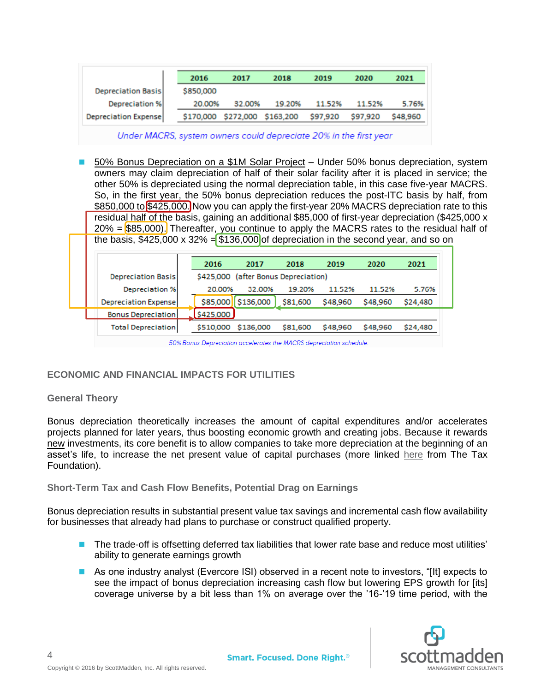|                           | 2016      | 2017      | 2018      | 2019     | 2020     | 2021     |
|---------------------------|-----------|-----------|-----------|----------|----------|----------|
| <b>Depreciation Basis</b> | \$850,000 |           |           |          |          |          |
| <b>Depreciation %</b>     | 20.00%    | 32.00%    | 19.20%    | 11.52%   | 11.52%   | 5.76%    |
| Depreciation Expense      | \$170,000 | \$272,000 | \$163,200 | \$97,920 | \$97,920 | \$48,960 |

Under MACRS, system owners could depreciate 20% in the first year

 50% Bonus Depreciation on a \$1M Solar Project – Under 50% bonus depreciation, system owners may claim depreciation of half of their solar facility after it is placed in service; the other 50% is depreciated using the normal depreciation table, in this case five-year MACRS. So, in the first year, the 50% bonus depreciation reduces the post-ITC basis by half, from \$850,000 to \$425,000. Now you can apply the first-year 20% MACRS depreciation rate to this residual half of the basis, gaining an additional \$85,000 of first-year depreciation (\$425,000 x  $20\%$  = \$85,000). Thereafter, you continue to apply the MACRS rates to the residual half of the basis,  $$425,000 \times 32\% = $136,000$  of depreciation in the second year, and so on

|                              | 2016      | 2017                       | 2018     | 2019     | 2020     | 2021     |
|------------------------------|-----------|----------------------------|----------|----------|----------|----------|
| <b>Depreciation Basis</b>    | \$425,000 | (after Bonus Depreciation) |          |          |          |          |
| <b>Depreciation %</b>        | 20.00%    | 32.00%                     | 19.20%   | 11.52%   | 11.52%   | 5.76%    |
| <b>Depreciation Expensel</b> | \$85,000  | \$136,000                  | \$81,600 | \$48,960 | \$48,960 | \$24,480 |
| <b>Bonus Depreciation</b>    | \$425,000 |                            |          |          |          |          |
| <b>Total Depreciation</b>    | \$510,000 | \$136,000                  | \$81,600 | \$48,960 | \$48,960 | \$24,480 |

50% Bonus Depreciation accelerates the MACRS depreciation schedule.

## <span id="page-4-0"></span>**ECONOMIC AND FINANCIAL IMPACTS FOR UTILITIES**

#### **General Theory**

Bonus depreciation theoretically increases the amount of capital expenditures and/or accelerates projects planned for later years, thus boosting economic growth and creating jobs. Because it rewards new investments, its core benefit is to allow companies to take more depreciation at the beginning of an asset's life, to increase the net present value of capital purchases (more linked [here](http://taxfoundation.org/blog/economic-effects-bonus-depreciation) from The Tax Foundation).

**Short-Term Tax and Cash Flow Benefits, Potential Drag on Earnings**

Bonus depreciation results in substantial present value tax savings and incremental cash flow availability for businesses that already had plans to purchase or construct qualified property.

- **The trade-off is offsetting deferred tax liabilities that lower rate base and reduce most utilities'** ability to generate earnings growth
- **As one industry analyst (Evercore ISI) observed in a recent note to investors, "[It] expects to** see the impact of bonus depreciation increasing cash flow but lowering EPS growth for [its] coverage universe by a bit less than 1% on average over the '16-'19 time period, with the

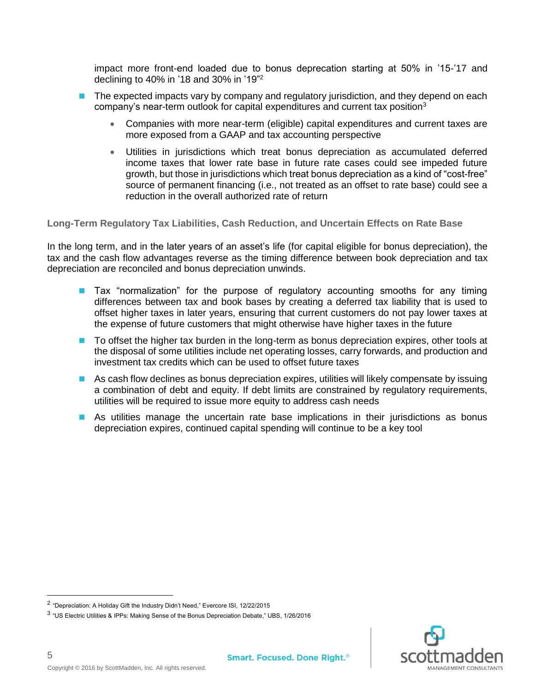impact more front-end loaded due to bonus deprecation starting at 50% in '15-'17 and declining to 40% in '18 and 30% in '19"<sup>2</sup>

- The expected impacts vary by company and regulatory jurisdiction, and they depend on each company's near-term outlook for capital expenditures and current tax position<sup>3</sup>
	- Companies with more near-term (eligible) capital expenditures and current taxes are more exposed from a GAAP and tax accounting perspective
	- Utilities in jurisdictions which treat bonus depreciation as accumulated deferred income taxes that lower rate base in future rate cases could see impeded future growth, but those in jurisdictions which treat bonus depreciation as a kind of "cost-free" source of permanent financing (i.e., not treated as an offset to rate base) could see a reduction in the overall authorized rate of return

**Long-Term Regulatory Tax Liabilities, Cash Reduction, and Uncertain Effects on Rate Base**

In the long term, and in the later years of an asset's life (for capital eligible for bonus depreciation), the tax and the cash flow advantages reverse as the timing difference between book depreciation and tax depreciation are reconciled and bonus depreciation unwinds.

- **Tax "normalization"** for the purpose of regulatory accounting smooths for any timing differences between tax and book bases by creating a deferred tax liability that is used to offset higher taxes in later years, ensuring that current customers do not pay lower taxes at the expense of future customers that might otherwise have higher taxes in the future
- **The To offset the higher tax burden in the long-term as bonus depreciation expires, other tools at** the disposal of some utilities include net operating losses, carry forwards, and production and investment tax credits which can be used to offset future taxes
- **As cash flow declines as bonus depreciation expires, utilities will likely compensate by issuing** a combination of debt and equity. If debt limits are constrained by regulatory requirements, utilities will be required to issue more equity to address cash needs
- **As utilities manage the uncertain rate base implications in their jurisdictions as bonus** depreciation expires, continued capital spending will continue to be a key tool



5

 $\overline{a}$ 

<sup>&</sup>lt;sup>2</sup> "Depreciation: A Holiday Gift the Industry Didn't Need," Evercore ISI, 12/22/2015

 $^3$  "US Electric Utilities & IPPs: Making Sense of the Bonus Depreciation Debate," UBS, 1/26/2016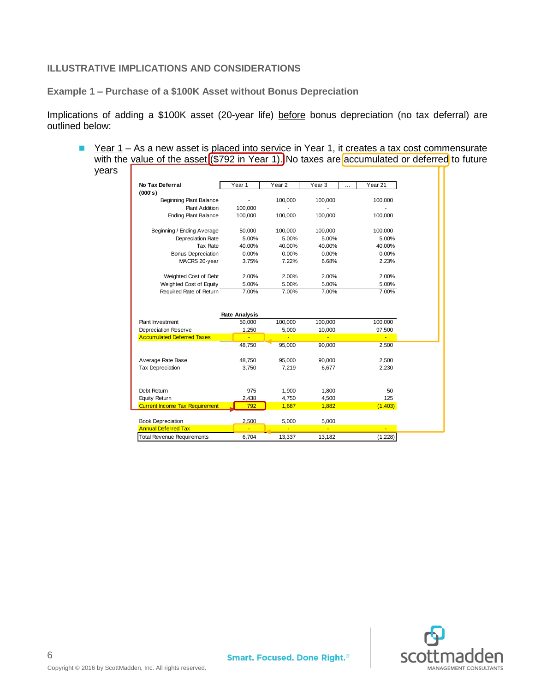## <span id="page-6-0"></span>**ILLUSTRATIVE IMPLICATIONS AND CONSIDERATIONS**

**Example 1 – Purchase of a \$100K Asset without Bonus Depreciation**

Implications of adding a \$100K asset (20-year life) before bonus depreciation (no tax deferral) are outlined below:

Year  $1 - As$  a new asset is placed into service in Year 1, it creates a tax cost commensurate with the value of the asset (\$792 in Year 1). No taxes are accumulated or deferred to future years  $\Gamma$ 

| No Tax Deferral                                        | Year 1                         | Year <sub>2</sub> | Year 3<br>.    | Year 21         |
|--------------------------------------------------------|--------------------------------|-------------------|----------------|-----------------|
| (000's)                                                |                                |                   |                |                 |
| Beginning Plant Balance                                |                                | 100,000           | 100,000        | 100,000         |
| <b>Plant Addition</b>                                  | 100,000                        |                   |                |                 |
| <b>Ending Plant Balance</b>                            | 100,000                        | 100,000           | 100,000        | 100,000         |
| Beginning / Ending Average                             | 50,000                         | 100,000           | 100,000        | 100,000         |
| Depreciation Rate                                      | 5.00%                          | 5.00%             | 5.00%          | 5.00%           |
| <b>Tax Rate</b>                                        | 40.00%                         | 40.00%            | 40.00%         | 40.00%          |
| <b>Bonus Depreciation</b>                              | 0.00%                          | 0.00%             | 0.00%          | 0.00%           |
| MACRS 20-year                                          | 3.75%                          | 7.22%             | 6.68%          | 2.23%           |
| Weighted Cost of Debt                                  | 2.00%                          | 2.00%             | 2.00%          | 2.00%           |
| Weighted Cost of Equity                                | 5.00%                          | 5.00%             | 5.00%          | 5.00%           |
| Required Rate of Return                                | 7.00%                          | 7.00%             | 7.00%          | 7.00%           |
| Plant Investment                                       | <b>Rate Analysis</b><br>50,000 | 100,000           | 100,000        | 100,000         |
| Depreciation Reserve                                   | 1,250                          | 5,000             | 10,000         | 97,500          |
| <b>Accumulated Deferred Taxes</b>                      |                                |                   |                |                 |
|                                                        | 48,750                         | 95,000            | 90,000         | 2,500           |
| Average Rate Base                                      | 48,750                         | 95,000            | 90,000         | 2,500           |
| <b>Tax Depreciation</b>                                | 3,750                          | 7,219             | 6,677          | 2,230           |
| Debt Return                                            | 975                            |                   |                | 50              |
|                                                        |                                | 1,900             | 1,800          |                 |
| Equity Return<br><b>Current Income Tax Requirement</b> | 2,438<br>792                   | 4,750<br>1,687    | 4,500<br>1,882 | 125<br>(1, 403) |
|                                                        |                                |                   |                |                 |
| <b>Book Depreciation</b>                               | 2.500                          | 5,000             | 5,000          |                 |
| <b>Annual Deferred Tax</b>                             |                                |                   | Ξ              |                 |
| <b>Total Revenue Requirements</b>                      | 6,704                          | 13,337            | 13,182         | (1,228)         |

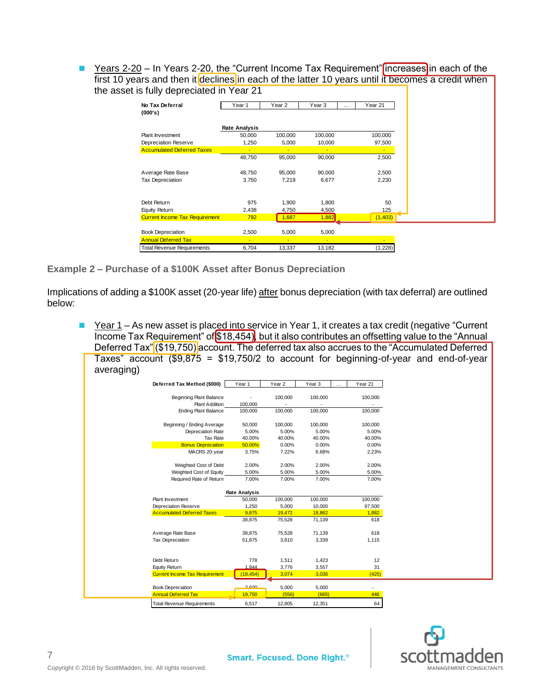■ Years 2-20 – In Years 2-20, the "Current Income Tax Requirement" increases in each of the first 10 years and then it declines in each of the latter 10 years until it becomes a credit when the asset is fully depreciated in Year 21

| No Tax Deferral                       | Year 1               | Year <sub>2</sub> | Year 3         | Year 21<br>$\cdots$ |
|---------------------------------------|----------------------|-------------------|----------------|---------------------|
| (000's)                               |                      |                   |                |                     |
|                                       |                      |                   |                |                     |
|                                       | <b>Rate Analysis</b> |                   |                |                     |
| Plant Investment                      | 50,000               | 100,000           | 100,000        | 100,000             |
| Depreciation Reserve                  | 1,250                | 5,000             | 10,000         | 97,500              |
| <b>Accumulated Deferred Taxes</b>     |                      | ٠                 | ÷              | ٠                   |
|                                       | 48,750               | 95,000            | 90,000         | 2,500               |
|                                       |                      |                   |                |                     |
| Average Rate Base                     | 48,750               | 95,000            | 90,000         | 2,500               |
| <b>Tax Depreciation</b>               | 3,750                | 7,219             | 6,677          | 2,230               |
|                                       |                      |                   |                |                     |
|                                       |                      |                   |                |                     |
| Debt Return                           | 975                  | 1,900             | 1,800          | 50                  |
| Equity Return                         | 2,438                | 4,750             | 4,500          | 125                 |
| <b>Current Income Tax Requirement</b> | 792                  | 1,687             | 1,882          | (1,403)             |
|                                       |                      |                   |                |                     |
| <b>Book Depreciation</b>              | 2,500                | 5,000             | 5,000          |                     |
| <b>Annual Deferred Tax</b>            |                      |                   | $\blacksquare$ |                     |
| <b>Total Revenue Requirements</b>     | 6,704                | 13,337            | 13,182         | (1,228)             |

**Example 2 – Purchase of a \$100K Asset after Bonus Depreciation**

Implications of adding a \$100K asset (20-year life) after bonus depreciation (with tax deferral) are outlined below:

■ Year 1 – As new asset is placed into service in Year 1, it creates a tax credit (negative "Current Income Tax Requirement" of \$18,454), but it also contributes an offsetting value to the "Annual Deferred Tax" (\$19,750) account. The deferred tax also accrues to the "Accumulated Deferred" Taxes" account  $(\$9,875 = \$19,750/2$  to account for beginning-of-year and end-of-year averaging)

| Deferred Tax Method (\$000)                      | Year <sub>1</sub>    | Year <sub>2</sub> | Year <sub>3</sub> | Year 21<br>$\cdots$ |
|--------------------------------------------------|----------------------|-------------------|-------------------|---------------------|
|                                                  |                      |                   | 100,000           |                     |
| Beginning Plant Balance<br><b>Plant Addition</b> | 100,000              | 100,000           |                   | 100,000             |
| <b>Ending Plant Balance</b>                      | 100,000              | 100,000           | 100,000           | 100,000             |
|                                                  |                      |                   |                   |                     |
| Beginning / Ending Average                       | 50,000               | 100,000           | 100,000           | 100,000             |
| Depreciation Rate                                | 5.00%                | 5.00%             | 5.00%             | 5.00%               |
| Tax Rate                                         | 40.00%               | 40.00%            | 40.00%            | 40.00%              |
| <b>Bonus Depreciation</b>                        | 50.00%               | 0.00%             | 0.00%             | 0.00%               |
| MACRS 20-year                                    | 3.75%                | 7.22%             | 6.68%             | 2.23%               |
| Weighted Cost of Debt                            | 2.00%                | 2.00%             | 2.00%             | 2.00%               |
| Weighted Cost of Equity                          | 5.00%                | 5.00%             | 5.00%             | 5.00%               |
| Required Rate of Return                          | 7.00%                | 7.00%             | 7.00%             | 7.00%               |
|                                                  | <b>Rate Analysis</b> |                   |                   |                     |
| Plant Investment                                 | 50,000               | 100,000           | 100,000           | 100,000             |
| Depreciation Reserve                             | 1,250                | 5,000             | 10,000            | 97,500              |
| <b>Accumulated Deferred Taxes</b>                | 9,875                | 19,472            | 18,862            | 1,882               |
|                                                  | 38,875               | 75,528            | 71,139            | 618                 |
| Average Rate Base                                | 38,875               | 75,528            | 71,139            | 618                 |
| <b>Tax Depreciation</b>                          | 51,875               | 3,610             | 3,339             | 1,115               |
|                                                  |                      |                   |                   |                     |
| Debt Return                                      | 778                  | 1.511             | 1,423             | 12                  |
|                                                  |                      |                   |                   |                     |
| Equity Return                                    | 1.944                | 3,776             | 3,557             |                     |
| <b>Current Income Tax Requirement</b>            | (18, 454)            | 3,074             | 3,036             | 31<br>(425)         |
| <b>Book Depreciation</b>                         | 2.500                | 5,000             | 5,000             | ٠                   |
| <b>Annual Deferred Tax</b>                       | 19,750               | (556)             | (665)             | 446                 |

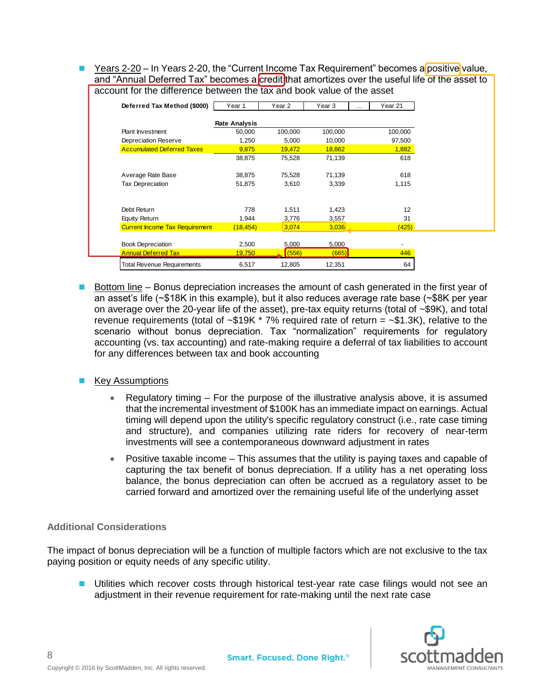$\blacksquare$  Years 2-20 – In Years 2-20, the "Current Income Tax Requirement" becomes a positive value, and "Annual Deferred Tax" becomes a credit that amortizes over the useful life of the asset to account for the difference between the tax and book value of the asset

| Deferred Tax Method (\$000)           | Year 1               | Year 2  | Year 3  | $\cdots$ | Year 21                  |
|---------------------------------------|----------------------|---------|---------|----------|--------------------------|
|                                       | <b>Rate Analysis</b> |         |         |          |                          |
| Plant Investment                      | 50,000               | 100,000 | 100,000 |          | 100,000                  |
| Depreciation Reserve                  | 1,250                | 5,000   | 10,000  |          | 97,500                   |
| <b>Accumulated Deferred Taxes</b>     | 9,875                | 19,472  | 18,862  |          | 1,882                    |
|                                       | 38,875               | 75,528  | 71,139  |          | 618                      |
| Average Rate Base                     | 38,875               | 75,528  | 71,139  |          | 618                      |
| Tax Depreciation                      | 51,875               | 3,610   | 3,339   |          | 1,115                    |
| Debt Return                           | 778                  | 1,511   | 1,423   |          | 12                       |
| Equity Return                         | 1.944                | 3.776   | 3.557   |          | 31                       |
| <b>Current Income Tax Requirement</b> | (18, 454)            | 3,074   | 3,036   |          | (425)                    |
| <b>Book Depreciation</b>              | 2,500                | 5,000   | 5,000   |          | $\overline{\phantom{a}}$ |
| <b>Annual Deferred Tax</b>            | 19,750               | (556)   | (665)   |          | 446                      |
| <b>Total Revenue Requirements</b>     | 6,517                | 12,805  | 12,351  |          | 64                       |

Bottom line – Bonus depreciation increases the amount of cash generated in the first year of an asset's life (~\$18K in this example), but it also reduces average rate base (~\$8K per year on average over the 20-year life of the asset), pre-tax equity returns (total of  $\sim$ \$9K), and total revenue requirements (total of  $\sim$ \$19K  $*$  7% required rate of return =  $\sim$ \$1.3K), relative to the scenario without bonus depreciation. Tax "normalization" requirements for regulatory accounting (vs. tax accounting) and rate-making require a deferral of tax liabilities to account for any differences between tax and book accounting

## ■ Key Assumptions

- Regulatory timing For the purpose of the illustrative analysis above, it is assumed that the incremental investment of \$100K has an immediate impact on earnings. Actual timing will depend upon the utility's specific regulatory construct (i.e., rate case timing and structure), and companies utilizing rate riders for recovery of near-term investments will see a contemporaneous downward adjustment in rates
- Positive taxable income This assumes that the utility is paying taxes and capable of capturing the tax benefit of bonus depreciation. If a utility has a net operating loss balance, the bonus depreciation can often be accrued as a regulatory asset to be carried forward and amortized over the remaining useful life of the underlying asset

## **Additional Considerations**

The impact of bonus depreciation will be a function of multiple factors which are not exclusive to the tax paying position or equity needs of any specific utility.

**Utilities which recover costs through historical test-year rate case filings would not see an** adjustment in their revenue requirement for rate-making until the next rate case

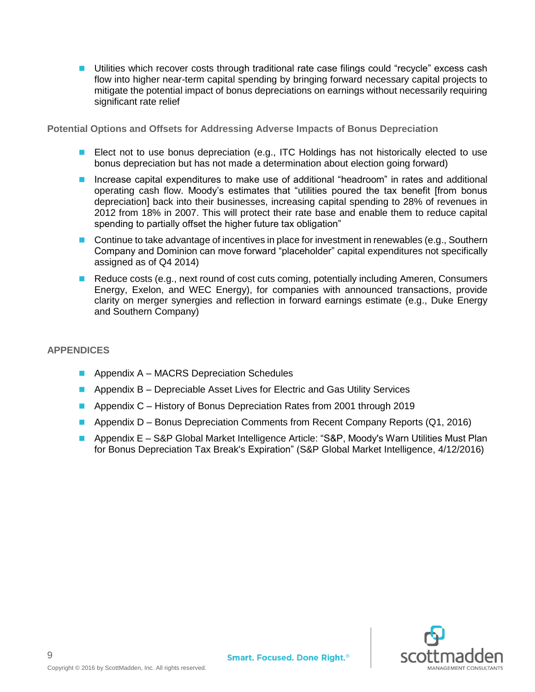**Utilities which recover costs through traditional rate case filings could "recycle" excess cash** flow into higher near-term capital spending by bringing forward necessary capital projects to mitigate the potential impact of bonus depreciations on earnings without necessarily requiring significant rate relief

**Potential Options and Offsets for Addressing Adverse Impacts of Bonus Depreciation**

- **E** Elect not to use bonus depreciation (e.g., ITC Holdings has not historically elected to use bonus depreciation but has not made a determination about election going forward)
- Increase capital expenditures to make use of additional "headroom" in rates and additional operating cash flow. Moody's estimates that "utilities poured the tax benefit [from bonus depreciation] back into their businesses, increasing capital spending to 28% of revenues in 2012 from 18% in 2007. This will protect their rate base and enable them to reduce capital spending to partially offset the higher future tax obligation"
- Continue to take advantage of incentives in place for investment in renewables (e.g., Southern Company and Dominion can move forward "placeholder" capital expenditures not specifically assigned as of Q4 2014)
- Reduce costs (e.g., next round of cost cuts coming, potentially including Ameren, Consumers Energy, Exelon, and WEC Energy), for companies with announced transactions, provide clarity on merger synergies and reflection in forward earnings estimate (e.g., Duke Energy and Southern Company)

## <span id="page-9-0"></span>**APPENDICES**

- **Appendix A MACRS Depreciation Schedules**
- **Appendix B Depreciable Asset Lives for Electric and Gas Utility Services**
- **Appendix C** History of Bonus Depreciation Rates from 2001 through 2019
- **Appendix D Bonus Depreciation Comments from Recent Company Reports (Q1, 2016)**
- Appendix E S&P Global Market Intelligence Article: "S&P, Moody's Warn Utilities Must Plan for Bonus Depreciation Tax Break's Expiration" (S&P Global Market Intelligence, 4/12/2016)

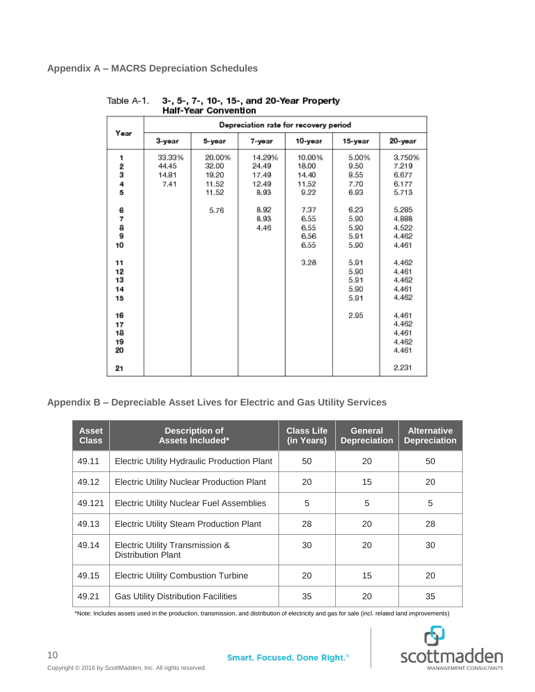|                            | Depreciation rate for recovery period |                                            |                                           |                                           |                                       |                                            |  |
|----------------------------|---------------------------------------|--------------------------------------------|-------------------------------------------|-------------------------------------------|---------------------------------------|--------------------------------------------|--|
| Year                       | 3-year                                | 5-year                                     | 7-year                                    | 10-year                                   | 15-year                               | 20-year                                    |  |
| 1<br>2<br>3<br>4<br>5      | 33.33%<br>44.45<br>14.81<br>7.41      | 20.00%<br>32.00<br>19.20<br>11.52<br>11.52 | 14.29%<br>24.49<br>17.49<br>12.49<br>8.93 | 10.00%<br>18.00<br>14.40<br>11.52<br>9.22 | 5.00%<br>9.50<br>8.55<br>7.70<br>6.93 | 3.750%<br>7.219<br>6.677<br>6.177<br>5.713 |  |
| 6<br>7<br>8<br>9<br>10     |                                       | 5.76                                       | 8.92<br>8.93<br>4.46                      | 7.37<br>6.55<br>6.55<br>6.56<br>6.55      | 6.23<br>5.90<br>5.90<br>5.91<br>5.90  | 5.285<br>4.888<br>4.522<br>4.462<br>4.461  |  |
| 11<br>12<br>13<br>14<br>15 |                                       |                                            |                                           | 3.28                                      | 5.91<br>5.90<br>5.91<br>5.90<br>5.91  | 4.462<br>4.461<br>4.462<br>4.461<br>4.462  |  |
| 16<br>17<br>18<br>19<br>20 |                                       |                                            |                                           |                                           | 2.95                                  | 4.461<br>4.462<br>4.461<br>4.462<br>4.461  |  |
| 21                         |                                       |                                            |                                           |                                           |                                       | 2.231                                      |  |

#### <span id="page-10-0"></span>3-, 5-, 7-, 10-, 15-, and 20-Year Property<br>Half-Year Convention Table A-1.

## <span id="page-10-1"></span>**Appendix B – Depreciable Asset Lives for Electric and Gas Utility Services**

| <b>Asset</b><br><b>Class</b> | <b>Description of</b><br>Assets Included*                    | <b>Class Life</b><br>(in Years) | General<br><b>Depreciation</b> | <b>Alternative</b><br><b>Depreciation</b> |
|------------------------------|--------------------------------------------------------------|---------------------------------|--------------------------------|-------------------------------------------|
| 49.11                        | Electric Utility Hydraulic Production Plant                  | 50                              | 20                             | 50                                        |
| 49.12                        | <b>Electric Utility Nuclear Production Plant</b>             | 20                              | 15                             | 20                                        |
| 49.121                       | <b>Electric Utility Nuclear Fuel Assemblies</b>              | 5                               | 5                              | 5                                         |
| 49.13                        | <b>Electric Utility Steam Production Plant</b>               | 28                              | 20                             | 28                                        |
| 49.14                        | Electric Utility Transmission &<br><b>Distribution Plant</b> | 30                              | 20                             | 30                                        |
| 49.15                        | <b>Electric Utility Combustion Turbine</b>                   | 20                              | 15                             | 20                                        |
| 49.21                        | <b>Gas Utility Distribution Facilities</b>                   | 35                              | 20                             | 35                                        |

\*Note: Includes assets used in the production, transmission, and distribution of electricity and gas for sale (incl. related land improvements)

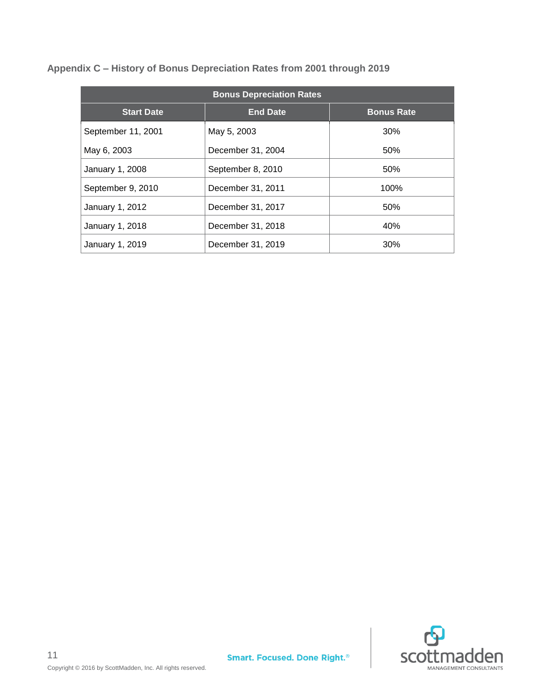| <b>Bonus Depreciation Rates</b> |                   |                   |  |  |  |
|---------------------------------|-------------------|-------------------|--|--|--|
| <b>Start Date</b>               | <b>End Date</b>   | <b>Bonus Rate</b> |  |  |  |
| September 11, 2001              | May 5, 2003       | 30%               |  |  |  |
| May 6, 2003                     | December 31, 2004 | 50%               |  |  |  |
| January 1, 2008                 | September 8, 2010 | 50%               |  |  |  |
| September 9, 2010               | December 31, 2011 | 100%              |  |  |  |
| January 1, 2012                 | December 31, 2017 | 50%               |  |  |  |
| January 1, 2018                 | December 31, 2018 | 40%               |  |  |  |
| January 1, 2019                 | December 31, 2019 | 30%               |  |  |  |

<span id="page-11-0"></span>**Appendix C – History of Bonus Depreciation Rates from 2001 through 2019**

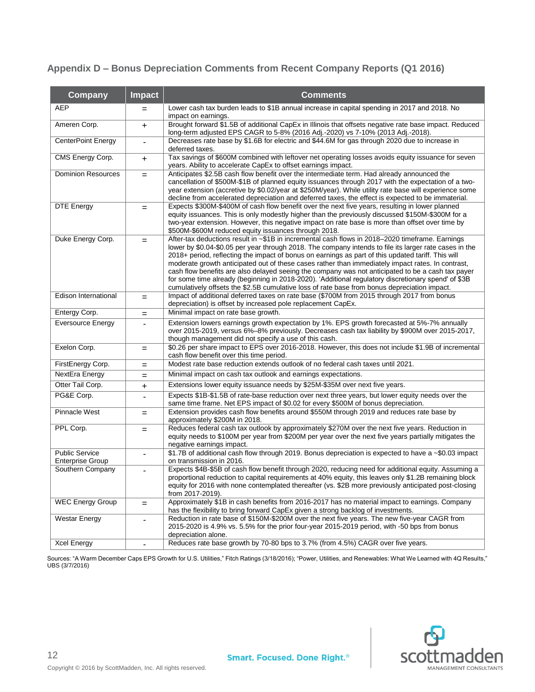## <span id="page-12-0"></span>**Appendix D – Bonus Depreciation Comments from Recent Company Reports (Q1 2016)**

| <b>Company</b>                                   | <b>Impact</b>            | <b>Comments</b>                                                                                                                                                                                                                                                                                                                                                                                                                                                                                                                                                                                                                                                                                                                  |
|--------------------------------------------------|--------------------------|----------------------------------------------------------------------------------------------------------------------------------------------------------------------------------------------------------------------------------------------------------------------------------------------------------------------------------------------------------------------------------------------------------------------------------------------------------------------------------------------------------------------------------------------------------------------------------------------------------------------------------------------------------------------------------------------------------------------------------|
| <b>AEP</b>                                       | $=$                      | Lower cash tax burden leads to \$1B annual increase in capital spending in 2017 and 2018. No<br>impact on earnings.                                                                                                                                                                                                                                                                                                                                                                                                                                                                                                                                                                                                              |
| Ameren Corp.                                     | +                        | Brought forward \$1.5B of additional CapEx in Illinois that offsets negative rate base impact. Reduced<br>long-term adjusted EPS CAGR to 5-8% (2016 Adj.-2020) vs 7-10% (2013 Adj.-2018).                                                                                                                                                                                                                                                                                                                                                                                                                                                                                                                                        |
| CenterPoint Energy                               |                          | Decreases rate base by \$1.6B for electric and \$44.6M for gas through 2020 due to increase in<br>deferred taxes.                                                                                                                                                                                                                                                                                                                                                                                                                                                                                                                                                                                                                |
| CMS Energy Corp.                                 | $\ddot{}$                | Tax savings of \$600M combined with leftover net operating losses avoids equity issuance for seven<br>years. Ability to accelerate CapEx to offset earnings impact.                                                                                                                                                                                                                                                                                                                                                                                                                                                                                                                                                              |
| <b>Dominion Resources</b>                        | $=$                      | Anticipates \$2.5B cash flow benefit over the intermediate term. Had already announced the<br>cancellation of \$500M-\$1B of planned equity issuances through 2017 with the expectation of a two-<br>year extension (accretive by \$0.02/year at \$250M/year). While utility rate base will experience some<br>decline from accelerated depreciation and deferred taxes, the effect is expected to be immaterial.                                                                                                                                                                                                                                                                                                                |
| <b>DTE Energy</b>                                | $=$                      | Expects \$300M-\$400M of cash flow benefit over the next five years, resulting in lower planned<br>equity issuances. This is only modestly higher than the previously discussed \$150M-\$300M for a<br>two-year extension. However, this negative impact on rate base is more than offset over time by<br>\$500M-\$600M reduced equity issuances through 2018.                                                                                                                                                                                                                                                                                                                                                                   |
| Duke Energy Corp.                                | $=$                      | After-tax deductions result in ~\$1B in incremental cash flows in 2018-2020 timeframe. Earnings<br>lower by \$0.04-\$0.05 per year through 2018. The company intends to file its larger rate cases in the<br>2018+ period, reflecting the impact of bonus on earnings as part of this updated tariff. This will<br>moderate growth anticipated out of these cases rather than immediately impact rates. In contrast,<br>cash flow benefits are also delayed seeing the company was not anticipated to be a cash tax payer<br>for some time already (beginning in 2018-2020). 'Additional regulatory discretionary spend' of \$3B<br>cumulatively offsets the \$2.5B cumulative loss of rate base from bonus depreciation impact. |
| Edison International                             | $=$                      | Impact of additional deferred taxes on rate base (\$700M from 2015 through 2017 from bonus<br>depreciation) is offset by increased pole replacement CapEx.                                                                                                                                                                                                                                                                                                                                                                                                                                                                                                                                                                       |
| Entergy Corp.                                    | $=$                      | Minimal impact on rate base growth.                                                                                                                                                                                                                                                                                                                                                                                                                                                                                                                                                                                                                                                                                              |
| <b>Eversource Energy</b>                         |                          | Extension lowers earnings growth expectation by 1%. EPS growth forecasted at 5%-7% annually<br>over 2015-2019, versus 6%-8% previously. Decreases cash tax liability by \$900M over 2015-2017,<br>though management did not specify a use of this cash.                                                                                                                                                                                                                                                                                                                                                                                                                                                                          |
| Exelon Corp.                                     | $=$                      | \$0.26 per share impact to EPS over 2016-2018. However, this does not include \$1.9B of incremental<br>cash flow benefit over this time period.                                                                                                                                                                                                                                                                                                                                                                                                                                                                                                                                                                                  |
| FirstEnergy Corp.                                | $=$                      | Modest rate base reduction extends outlook of no federal cash taxes until 2021.                                                                                                                                                                                                                                                                                                                                                                                                                                                                                                                                                                                                                                                  |
| NextEra Energy                                   | $=$                      | Minimal impact on cash tax outlook and earnings expectations.                                                                                                                                                                                                                                                                                                                                                                                                                                                                                                                                                                                                                                                                    |
| Otter Tail Corp.                                 | +                        | Extensions lower equity issuance needs by \$25M-\$35M over next five years.                                                                                                                                                                                                                                                                                                                                                                                                                                                                                                                                                                                                                                                      |
| PG&E Corp.                                       |                          | Expects \$1B-\$1.5B of rate-base reduction over next three years, but lower equity needs over the<br>same time frame. Net EPS impact of \$0.02 for every \$500M of bonus depreciation.                                                                                                                                                                                                                                                                                                                                                                                                                                                                                                                                           |
| <b>Pinnacle West</b>                             | $=$                      | Extension provides cash flow benefits around \$550M through 2019 and reduces rate base by<br>approximately \$200M in 2018.                                                                                                                                                                                                                                                                                                                                                                                                                                                                                                                                                                                                       |
| PPL Corp.                                        | $=$                      | Reduces federal cash tax outlook by approximately \$270M over the next five years. Reduction in<br>equity needs to \$100M per year from \$200M per year over the next five years partially mitigates the<br>negative earnings impact.                                                                                                                                                                                                                                                                                                                                                                                                                                                                                            |
| <b>Public Service</b><br><b>Enterprise Group</b> | $\overline{\phantom{m}}$ | \$1.7B of additional cash flow through 2019. Bonus depreciation is expected to have a ~\$0.03 impact<br>on transmission in 2016.                                                                                                                                                                                                                                                                                                                                                                                                                                                                                                                                                                                                 |
| Southern Company                                 |                          | Expects \$4B-\$5B of cash flow benefit through 2020, reducing need for additional equity. Assuming a<br>proportional reduction to capital requirements at 40% equity, this leaves only \$1.2B remaining block<br>equity for 2016 with none contemplated thereafter (vs. \$2B more previously anticipated post-closing<br>from 2017-2019).                                                                                                                                                                                                                                                                                                                                                                                        |
| <b>WEC Energy Group</b>                          | $=$                      | Approximately \$1B in cash benefits from 2016-2017 has no material impact to earnings. Company<br>has the flexibility to bring forward CapEx given a strong backlog of investments.                                                                                                                                                                                                                                                                                                                                                                                                                                                                                                                                              |
| Westar Energy                                    | $\overline{\phantom{a}}$ | Reduction in rate base of \$150M-\$200M over the next five years. The new five-year CAGR from<br>2015-2020 is 4.9% vs. 5.5% for the prior four-year 2015-2019 period, with -50 bps from bonus<br>depreciation alone.                                                                                                                                                                                                                                                                                                                                                                                                                                                                                                             |
| <b>Xcel Energy</b>                               | $\overline{\phantom{a}}$ | Reduces rate base growth by 70-80 bps to 3.7% (from 4.5%) CAGR over five years.                                                                                                                                                                                                                                                                                                                                                                                                                                                                                                                                                                                                                                                  |

Sources: "A Warm December Caps EPS Growth for U.S. Utilities," Fitch Ratings (3/18/2016); "Power, Utilities, and Renewables: What We Learned with 4Q Results," UBS (3/7/2016)



12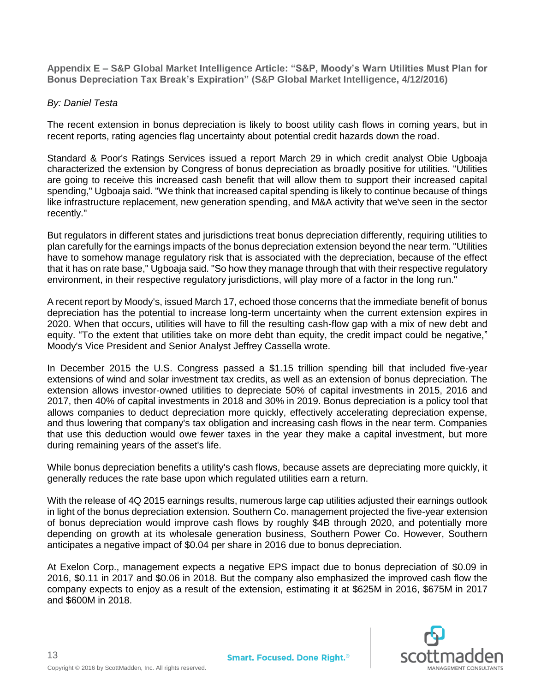<span id="page-13-0"></span>**Appendix E – S&P Global Market Intelligence Article: "S&P, Moody's Warn Utilities Must Plan for Bonus Depreciation Tax Break's Expiration" (S&P Global Market Intelligence, 4/12/2016)**

## *By: Daniel Testa*

The recent extension in bonus depreciation is likely to boost utility cash flows in coming years, but in recent reports, rating agencies flag uncertainty about potential credit hazards down the road.

Standard & Poor's Ratings Services issued a report March 29 in which credit analyst Obie Ugboaja characterized the extension by Congress of bonus depreciation as broadly positive for utilities. "Utilities are going to receive this increased cash benefit that will allow them to support their increased capital spending," Ugboaja said. "We think that increased capital spending is likely to continue because of things like infrastructure replacement, new generation spending, and M&A activity that we've seen in the sector recently."

But regulators in different states and jurisdictions treat bonus depreciation differently, requiring utilities to plan carefully for the earnings impacts of the bonus depreciation extension beyond the near term. "Utilities have to somehow manage regulatory risk that is associated with the depreciation, because of the effect that it has on rate base," Ugboaja said. "So how they manage through that with their respective regulatory environment, in their respective regulatory jurisdictions, will play more of a factor in the long run."

A recent report by Moody's, issued March 17, echoed those concerns that the immediate benefit of bonus depreciation has the potential to increase long-term uncertainty when the current extension expires in 2020. When that occurs, utilities will have to fill the resulting cash-flow gap with a mix of new debt and equity. "To the extent that utilities take on more debt than equity, the credit impact could be negative," Moody's Vice President and Senior Analyst Jeffrey Cassella wrote.

In December 2015 the U.S. Congress passed a \$1.15 trillion spending bill that included five-year extensions of wind and solar investment tax credits, as well as an extension of bonus depreciation. The extension allows investor-owned utilities to depreciate 50% of capital investments in 2015, 2016 and 2017, then 40% of capital investments in 2018 and 30% in 2019. Bonus depreciation is a policy tool that allows companies to deduct depreciation more quickly, effectively accelerating depreciation expense, and thus lowering that company's tax obligation and increasing cash flows in the near term. Companies that use this deduction would owe fewer taxes in the year they make a capital investment, but more during remaining years of the asset's life.

While bonus depreciation benefits a utility's cash flows, because assets are depreciating more quickly, it generally reduces the rate base upon which regulated utilities earn a return.

With the release of 4Q 2015 earnings results, numerous large cap utilities adjusted their earnings outlook in light of the bonus depreciation extension. Southern Co. management projected the five-year extension of bonus depreciation would improve cash flows by roughly \$4B through 2020, and potentially more depending on growth at its wholesale generation business, Southern Power Co. However, Southern anticipates a negative impact of \$0.04 per share in 2016 due to bonus depreciation.

At Exelon Corp., management expects a negative EPS impact due to bonus depreciation of \$0.09 in 2016, \$0.11 in 2017 and \$0.06 in 2018. But the company also emphasized the improved cash flow the company expects to enjoy as a result of the extension, estimating it at \$625M in 2016, \$675M in 2017 and \$600M in 2018.